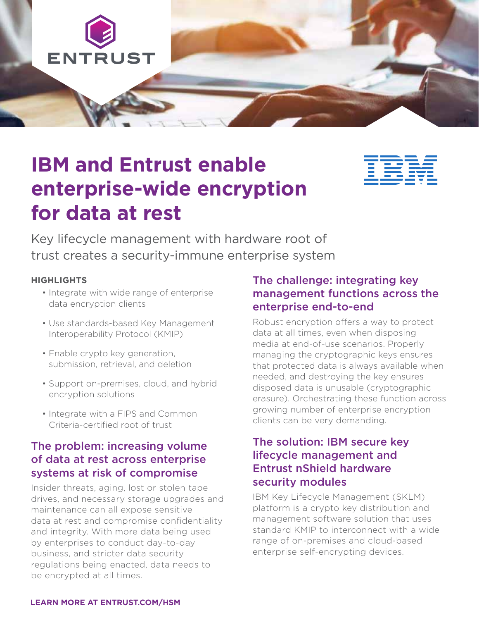

# **IBM and Entrust enable enterprise-wide encryption for data at rest**



Key lifecycle management with hardware root of trust creates a security-immune enterprise system

#### **HIGHLIGHTS**

- Integrate with wide range of enterprise data encryption clients
- Use standards-based Key Management Interoperability Protocol (KMIP)
- Enable crypto key generation, submission, retrieval, and deletion
- Support on-premises, cloud, and hybrid encryption solutions
- Integrate with a FIPS and Common Criteria-certified root of trust

## The problem: increasing volume of data at rest across enterprise systems at risk of compromise

Insider threats, aging, lost or stolen tape drives, and necessary storage upgrades and maintenance can all expose sensitive data at rest and compromise confidentiality and integrity. With more data being used by enterprises to conduct day-to-day business, and stricter data security regulations being enacted, data needs to be encrypted at all times.

## The challenge: integrating key management functions across the enterprise end-to-end

Robust encryption offers a way to protect data at all times, even when disposing media at end-of-use scenarios. Properly managing the cryptographic keys ensures that protected data is always available when needed, and destroying the key ensures disposed data is unusable (cryptographic erasure). Orchestrating these function across growing number of enterprise encryption clients can be very demanding.

### The solution: IBM secure key lifecycle management and Entrust nShield hardware security modules

IBM Key Lifecycle Management (SKLM) platform is a crypto key distribution and management software solution that uses standard KMIP to interconnect with a wide range of on-premises and cloud-based enterprise self-encrypting devices.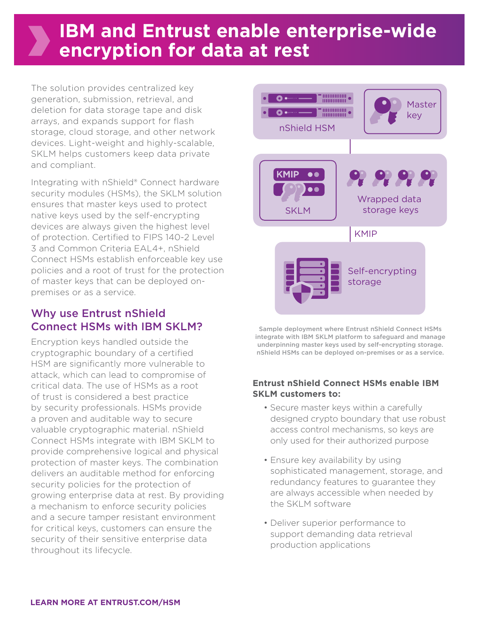## **IBM and Entrust enable enterprise-wide encryption for data at rest**

The solution provides centralized key generation, submission, retrieval, and deletion for data storage tape and disk arrays, and expands support for flash storage, cloud storage, and other network devices. Light-weight and highly-scalable, SKLM helps customers keep data private and compliant.

Integrating with nShield® Connect hardware security modules (HSMs), the SKLM solution ensures that master keys used to protect native keys used by the self-encrypting devices are always given the highest level of protection. Certified to FIPS 140-2 Level 3 and Common Criteria EAL4+, nShield Connect HSMs establish enforceable key use policies and a root of trust for the protection of master keys that can be deployed onpremises or as a service.

## Why use Entrust nShield Connect HSMs with IBM SKLM?

Encryption keys handled outside the cryptographic boundary of a certified HSM are significantly more vulnerable to attack, which can lead to compromise of critical data. The use of HSMs as a root of trust is considered a best practice by security professionals. HSMs provide a proven and auditable way to secure valuable cryptographic material. nShield Connect HSMs integrate with IBM SKLM to provide comprehensive logical and physical protection of master keys. The combination delivers an auditable method for enforcing security policies for the protection of growing enterprise data at rest. By providing a mechanism to enforce security policies and a secure tamper resistant environment for critical keys, customers can ensure the security of their sensitive enterprise data throughout its lifecycle.



Sample deployment where Entrust nShield Connect HSMs integrate with IBM SKLM platform to safeguard and manage underpinning master keys used by self-encrypting storage. nShield HSMs can be deployed on-premises or as a service.

#### **Entrust nShield Connect HSMs enable IBM SKLM customers to:**

- Secure master keys within a carefully designed crypto boundary that use robust access control mechanisms, so keys are only used for their authorized purpose
- Ensure key availability by using sophisticated management, storage, and redundancy features to guarantee they are always accessible when needed by the SKLM software
- Deliver superior performance to support demanding data retrieval production applications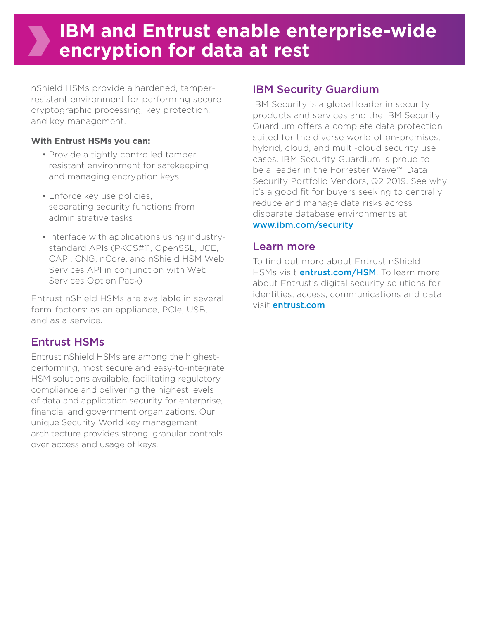## **IBM and Entrust enable enterprise-wide encryption for data at rest**

nShield HSMs provide a hardened, tamperresistant environment for performing secure cryptographic processing, key protection, and key management.

#### **With Entrust HSMs you can:**

- Provide a tightly controlled tamper resistant environment for safekeeping and managing encryption keys
- Enforce key use policies, separating security functions from administrative tasks
- Interface with applications using industrystandard APIs (PKCS#11, OpenSSL, JCE, CAPI, CNG, nCore, and nShield HSM Web Services API in conjunction with Web Services Option Pack)

Entrust nShield HSMs are available in several form-factors: as an appliance, PCIe, USB, and as a service.

## Entrust HSMs

Entrust nShield HSMs are among the highestperforming, most secure and easy-to-integrate HSM solutions available, facilitating regulatory compliance and delivering the highest levels of data and application security for enterprise, financial and government organizations. Our unique Security World key management architecture provides strong, granular controls over access and usage of keys.

## IBM Security Guardium

IBM Security is a global leader in security products and services and the IBM Security Guardium offers a complete data protection suited for the diverse world of on-premises, hybrid, cloud, and multi-cloud security use cases. IBM Security Guardium is proud to be a leader in the Forrester Wave™: Data Security Portfolio Vendors, Q2 2019. See why it's a good fit for buyers seeking to centrally reduce and manage data risks across disparate database environments at [www.ibm.com/security](http://www.ibm.com/security)

### Learn more

To find out more about Entrust nShield HSMs visit **entrust.com/HSM**. To learn more about Entrust's digital security solutions for identities, access, communications and data visit entrust.com